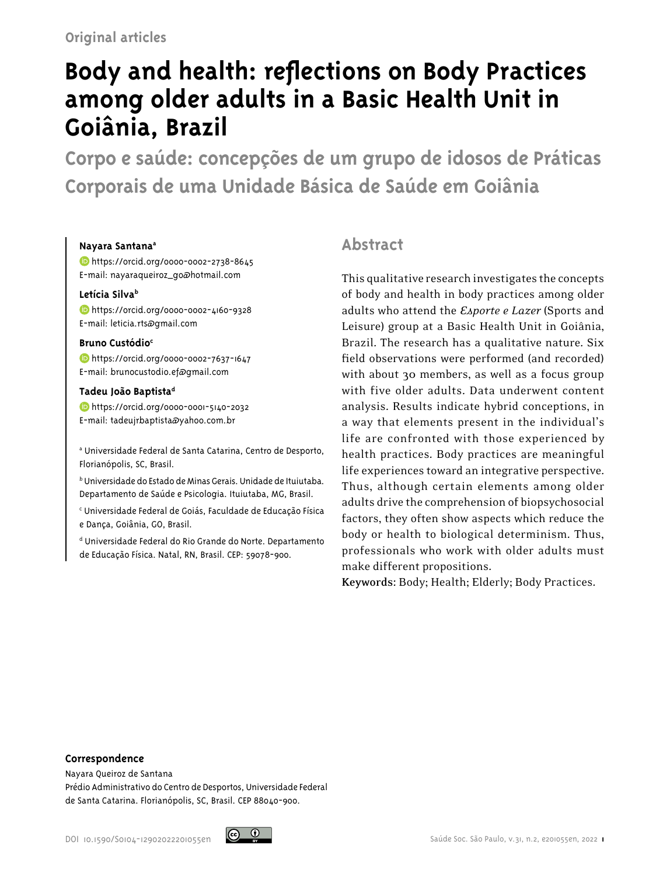# **Body and health: reflections on Body Practices among older adults in a Basic Health Unit in Goiânia, Brazil**

**Corpo e saúde: concepções de um grupo de idosos de Práticas Corporais de uma Unidade Básica de Saúde em Goiânia**

## **Nayara Santana<sup>a</sup>**

 [h]( https://orcid.org/0000-0002-2738-8645)ttps://orcid.org/0000-0002-2738-8645 E-mail: nayaraqueiroz\_go@hotmail.com

## **Letícia Silva<sup>b</sup>**

<https://orcid.org/0000-0002-4160-9328> E-mail: leticia.rts@gmail.com

## **Bruno Custódio<sup>c</sup>**

**b** [h](https://orcid.org/0000-0002-7637-1647)ttps://orcid.org/0000-0002-7637-1647 E-mail: brunocustodio.ef@gmail.com

## **Tadeu João Baptista<sup>d</sup>**

 [h](https://orcid.org/0000-0001-5140-2032)ttps://orcid.org/0000-0001-5140-2032 E-mail: tadeujrbaptista@yahoo.com.br

a Universidade Federal de Santa Catarina, Centro de Desporto, Florianópolis, SC, Brasil.

b Universidade do Estado de Minas Gerais. Unidade de Ituiutaba. Departamento de Saúde e Psicologia. Ituiutaba, MG, Brasil.

c Universidade Federal de Goiás, Faculdade de Educação Física e Dança, Goiânia, GO, Brasil.

d Universidade Federal do Rio Grande do Norte. Departamento de Educação Física. Natal, RN, Brasil. CEP: 59078-900.

# **Abstract**

This qualitative research investigates the concepts of body and health in body practices among older adults who attend the *Esporte e Lazer* (Sports and Leisure) group at a Basic Health Unit in Goiânia, Brazil. The research has a qualitative nature. Six field observations were performed (and recorded) with about 30 members, as well as a focus group with five older adults. Data underwent content analysis. Results indicate hybrid conceptions, in a way that elements present in the individual's life are confronted with those experienced by health practices. Body practices are meaningful life experiences toward an integrative perspective. Thus, although certain elements among older adults drive the comprehension of biopsychosocial factors, they often show aspects which reduce the body or health to biological determinism. Thus, professionals who work with older adults must make different propositions.

**Keywords:** Body; Health; Elderly; Body Practices.

#### **Correspondence**

Nayara Queiroz de Santana Prédio Administrativo do Centro de Desportos, Universidade Federal de Santa Catarina. Florianópolis, SC, Brasil. CEP 88040-900.

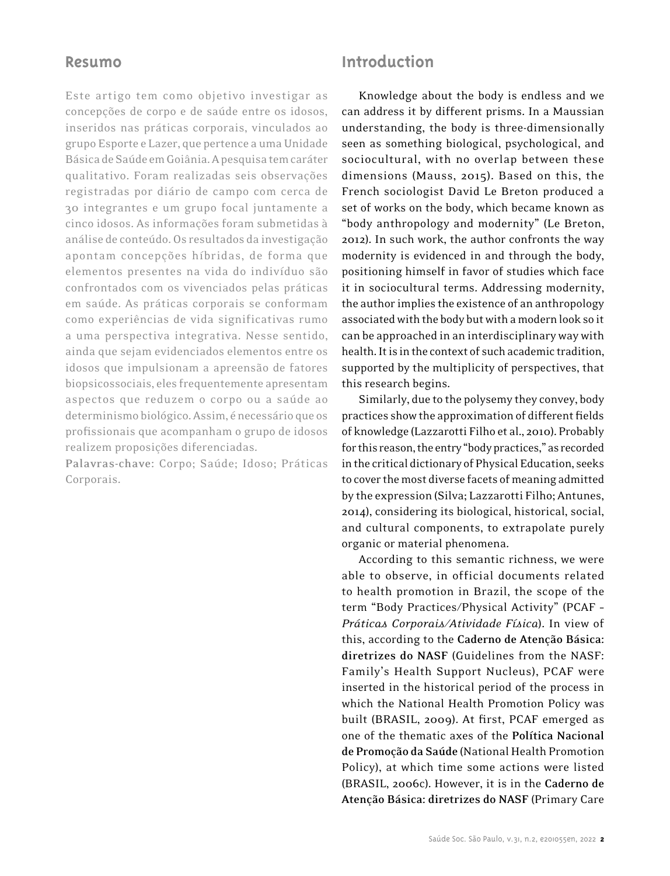## **Resumo**

Este artigo tem como objetivo investigar as concepções de corpo e de saúde entre os idosos, inseridos nas práticas corporais, vinculados ao grupo Esporte e Lazer, que pertence a uma Unidade Básica de Saúde em Goiânia. A pesquisa tem caráter qualitativo. Foram realizadas seis observações registradas por diário de campo com cerca de 30 integrantes e um grupo focal juntamente a cinco idosos. As informações foram submetidas à análise de conteúdo. Os resultados da investigação apontam concepções híbridas, de forma que elementos presentes na vida do indivíduo são confrontados com os vivenciados pelas práticas em saúde. As práticas corporais se conformam como experiências de vida significativas rumo a uma perspectiva integrativa. Nesse sentido, ainda que sejam evidenciados elementos entre os idosos que impulsionam a apreensão de fatores biopsicossociais, eles frequentemente apresentam aspectos que reduzem o corpo ou a saúde ao determinismo biológico. Assim, é necessário que os profissionais que acompanham o grupo de idosos realizem proposições diferenciadas.

**Palavras-chave:** Corpo; Saúde; Idoso; Práticas Corporais.

# **Introduction**

Knowledge about the body is endless and we can address it by different prisms. In a Maussian understanding, the body is three-dimensionally seen as something biological, psychological, and sociocultural, with no overlap between these dimensions (Mauss, 2015). Based on this, the French sociologist David Le Breton produced a set of works on the body, which became known as "body anthropology and modernity" (Le Breton, 2012). In such work, the author confronts the way modernity is evidenced in and through the body, positioning himself in favor of studies which face it in sociocultural terms. Addressing modernity, the author implies the existence of an anthropology associated with the body but with a modern look so it can be approached in an interdisciplinary way with health. It is in the context of such academic tradition, supported by the multiplicity of perspectives, that this research begins.

Similarly, due to the polysemy they convey, body practices show the approximation of different fields of knowledge (Lazzarotti Filho et al., 2010). Probably for this reason, the entry "body practices," as recorded in the critical dictionary of Physical Education, seeks to cover the most diverse facets of meaning admitted by the expression (Silva; Lazzarotti Filho; Antunes, 2014), considering its biological, historical, social, and cultural components, to extrapolate purely organic or material phenomena.

According to this semantic richness, we were able to observe, in official documents related to health promotion in Brazil, the scope of the term "Body Practices/Physical Activity" (PCAF – *Práticas Corporais/Atividade Física*). In view of this, according to the **Caderno de Atenção Básica: diretrizes do NASF** (Guidelines from the NASF: Family's Health Support Nucleus), PCAF were inserted in the historical period of the process in which the National Health Promotion Policy was built (BRASIL, 2009). At first, PCAF emerged as one of the thematic axes of the **Política Nacional de Promoção da Saúde** (National Health Promotion Policy), at which time some actions were listed (BRASIL, 2006c). However, it is in the **Caderno de Atenção Básica: diretrizes do NASF** (Primary Care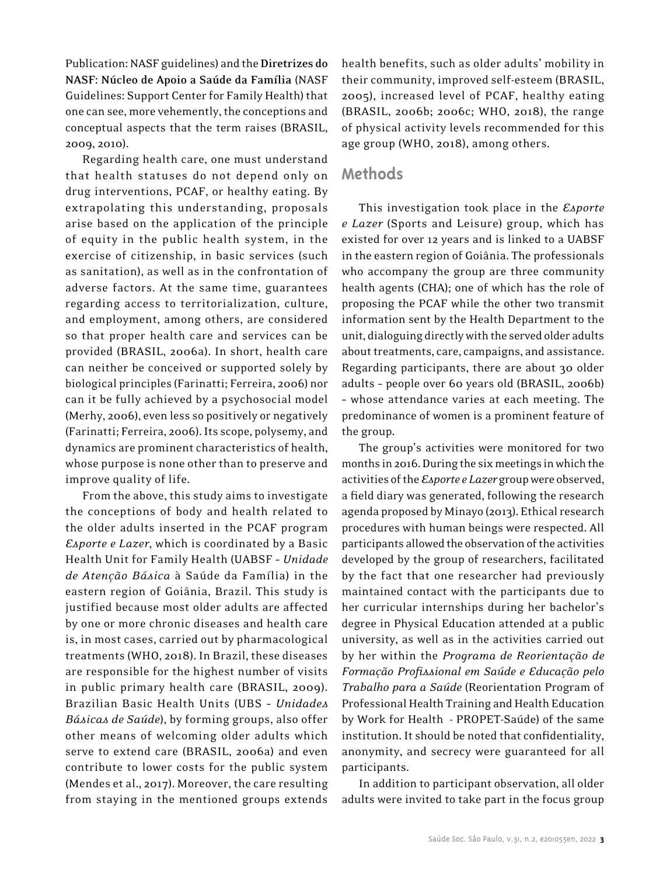Publication: NASF guidelines) and the **Diretrizes do NASF: Núcleo de Apoio a Saúde da Família** (NASF Guidelines: Support Center for Family Health) that one can see, more vehemently, the conceptions and conceptual aspects that the term raises (BRASIL, 2009, 2010).

Regarding health care, one must understand that health statuses do not depend only on drug interventions, PCAF, or healthy eating. By extrapolating this understanding, proposals arise based on the application of the principle of equity in the public health system, in the exercise of citizenship, in basic services (such as sanitation), as well as in the confrontation of adverse factors. At the same time, guarantees regarding access to territorialization, culture, and employment, among others, are considered so that proper health care and services can be provided (BRASIL, 2006a). In short, health care can neither be conceived or supported solely by biological principles (Farinatti; Ferreira, 2006) nor can it be fully achieved by a psychosocial model (Merhy, 2006), even less so positively or negatively (Farinatti; Ferreira, 2006). Its scope, polysemy, and dynamics are prominent characteristics of health, whose purpose is none other than to preserve and improve quality of life.

From the above, this study aims to investigate the conceptions of body and health related to the older adults inserted in the PCAF program *Esporte e Lazer*, which is coordinated by a Basic Health Unit for Family Health (UABSF – *Unidade de Atenção Básica* à Saúde da Família) in the eastern region of Goiânia, Brazil. This study is justified because most older adults are affected by one or more chronic diseases and health care is, in most cases, carried out by pharmacological treatments (WHO, 2018). In Brazil, these diseases are responsible for the highest number of visits in public primary health care (BRASIL, 2009). Brazilian Basic Health Units (UBS – *Unidades Básicas de Saúde*), by forming groups, also offer other means of welcoming older adults which serve to extend care (BRASIL, 2006a) and even contribute to lower costs for the public system (Mendes et al., 2017). Moreover, the care resulting from staying in the mentioned groups extends health benefits, such as older adults' mobility in their community, improved self-esteem (BRASIL, 2005), increased level of PCAF, healthy eating (BRASIL, 2006b; 2006c; WHO, 2018), the range of physical activity levels recommended for this age group (WHO, 2018), among others.

## **Methods**

This investigation took place in the *Esporte e Lazer* (Sports and Leisure) group, which has existed for over 12 years and is linked to a UABSF in the eastern region of Goiânia. The professionals who accompany the group are three community health agents (CHA); one of which has the role of proposing the PCAF while the other two transmit information sent by the Health Department to the unit, dialoguing directly with the served older adults about treatments, care, campaigns, and assistance. Regarding participants, there are about 30 older adults – people over 60 years old (BRASIL, 2006b) – whose attendance varies at each meeting. The predominance of women is a prominent feature of the group.

The group's activities were monitored for two months in 2016. During the six meetings in which the activities of the *Esporte e Lazer* group were observed, a field diary was generated, following the research agenda proposed by Minayo (2013). Ethical research procedures with human beings were respected. All participants allowed the observation of the activities developed by the group of researchers, facilitated by the fact that one researcher had previously maintained contact with the participants due to her curricular internships during her bachelor's degree in Physical Education attended at a public university, as well as in the activities carried out by her within the *Programa de Reorientação de Formação Profissional em Saúde e Educação pelo Trabalho para a Saúde* (Reorientation Program of Professional Health Training and Health Education by Work for Health - PROPET-Saúde) of the same institution. It should be noted that confidentiality, anonymity, and secrecy were guaranteed for all participants.

In addition to participant observation, all older adults were invited to take part in the focus group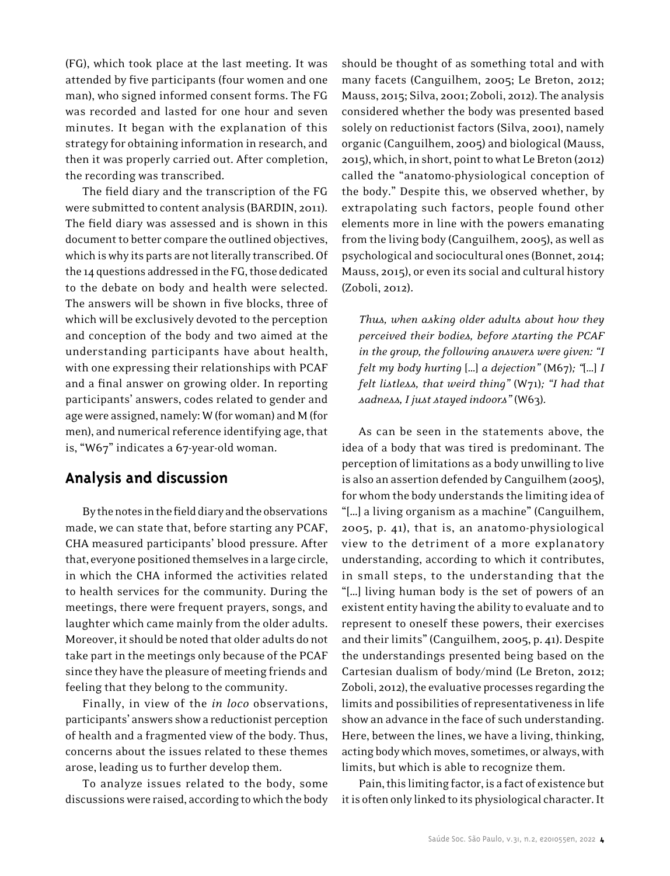(FG), which took place at the last meeting. It was attended by five participants (four women and one man), who signed informed consent forms. The FG was recorded and lasted for one hour and seven minutes. It began with the explanation of this strategy for obtaining information in research, and then it was properly carried out. After completion, the recording was transcribed.

The field diary and the transcription of the FG were submitted to content analysis (BARDIN, 2011). The field diary was assessed and is shown in this document to better compare the outlined objectives, which is why its parts are not literally transcribed. Of the 14 questions addressed in the FG, those dedicated to the debate on body and health were selected. The answers will be shown in five blocks, three of which will be exclusively devoted to the perception and conception of the body and two aimed at the understanding participants have about health, with one expressing their relationships with PCAF and a final answer on growing older. In reporting participants' answers, codes related to gender and age were assigned, namely: W (for woman) and M (for men), and numerical reference identifying age, that is, "W67" indicates a 67-year-old woman.

# **Analysis and discussion**

By the notes in the field diary and the observations made, we can state that, before starting any PCAF, CHA measured participants' blood pressure. After that, everyone positioned themselves in a large circle, in which the CHA informed the activities related to health services for the community. During the meetings, there were frequent prayers, songs, and laughter which came mainly from the older adults. Moreover, it should be noted that older adults do not take part in the meetings only because of the PCAF since they have the pleasure of meeting friends and feeling that they belong to the community.

Finally, in view of the *in loco* observations, participants' answers show a reductionist perception of health and a fragmented view of the body. Thus, concerns about the issues related to these themes arose, leading us to further develop them.

To analyze issues related to the body, some discussions were raised, according to which the body should be thought of as something total and with many facets (Canguilhem, 2005; Le Breton, 2012; Mauss, 2015; Silva, 2001; Zoboli, 2012). The analysis considered whether the body was presented based solely on reductionist factors (Silva, 2001), namely organic (Canguilhem, 2005) and biological (Mauss, 2015), which, in short, point to what Le Breton (2012) called the "anatomo-physiological conception of the body." Despite this, we observed whether, by extrapolating such factors, people found other elements more in line with the powers emanating from the living body (Canguilhem, 2005), as well as psychological and sociocultural ones (Bonnet, 2014; Mauss, 2015), or even its social and cultural history (Zoboli, 2012).

*Thus, when asking older adults about how they perceived their bodies, before starting the PCAF in the group, the following answers were given: "I felt my body hurting* […] *a dejection"* (M67)*; "*[…] *I felt listless, that weird thing"* (W71)*; "I had that sadness, I just stayed indoors"* (W63)*.*

As can be seen in the statements above, the idea of a body that was tired is predominant. The perception of limitations as a body unwilling to live is also an assertion defended by Canguilhem (2005), for whom the body understands the limiting idea of "[…] a living organism as a machine" (Canguilhem, 2005, p. 41), that is, an anatomo-physiological view to the detriment of a more explanatory understanding, according to which it contributes, in small steps, to the understanding that the "[…] living human body is the set of powers of an existent entity having the ability to evaluate and to represent to oneself these powers, their exercises and their limits" (Canguilhem, 2005, p. 41). Despite the understandings presented being based on the Cartesian dualism of body/mind (Le Breton, 2012; Zoboli, 2012), the evaluative processes regarding the limits and possibilities of representativeness in life show an advance in the face of such understanding. Here, between the lines, we have a living, thinking, acting body which moves, sometimes, or always, with limits, but which is able to recognize them.

Pain, this limiting factor, is a fact of existence but it is often only linked to its physiological character. It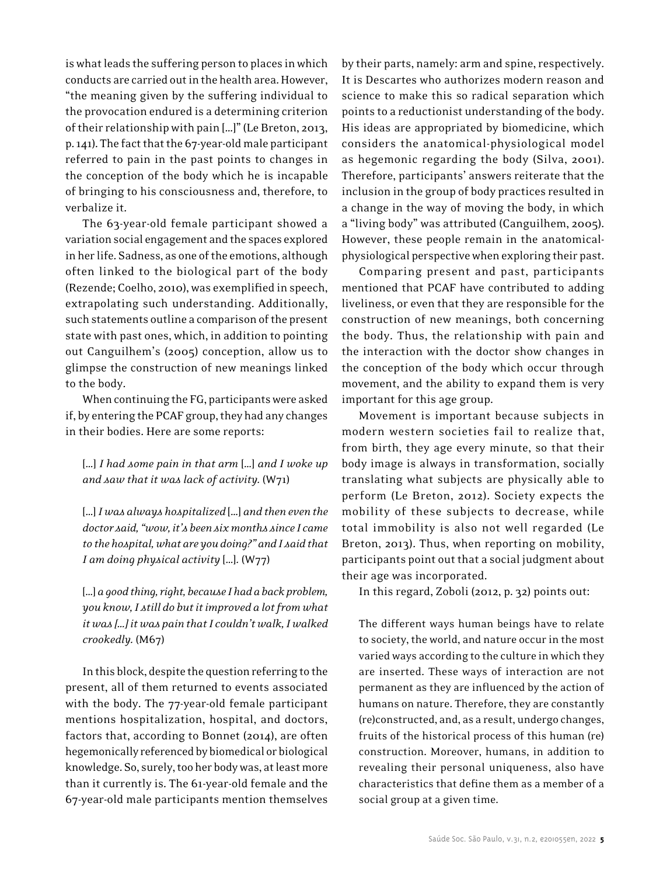is what leads the suffering person to places in which conducts are carried out in the health area. However, "the meaning given by the suffering individual to the provocation endured is a determining criterion of their relationship with pain […]" (Le Breton, 2013, p. 141). The fact that the 67-year-old male participant referred to pain in the past points to changes in the conception of the body which he is incapable of bringing to his consciousness and, therefore, to verbalize it.

The 63-year-old female participant showed a variation social engagement and the spaces explored in her life. Sadness, as one of the emotions, although often linked to the biological part of the body (Rezende; Coelho, 2010), was exemplified in speech, extrapolating such understanding. Additionally, such statements outline a comparison of the present state with past ones, which, in addition to pointing out Canguilhem's (2005) conception, allow us to glimpse the construction of new meanings linked to the body.

When continuing the FG, participants were asked if, by entering the PCAF group, they had any changes in their bodies. Here are some reports:

[…] *I had some pain in that arm* […] *and I woke up and saw that it was lack of activity.* (W71)

[…] *I was always hospitalized* […] *and then even the doctor said, "wow, it's been six months since I came to the hospital, what are you doing?" and I said that I am doing physical activity* […]*.* (W77)

[…] *a good thing, right, because I had a back problem, you know, I still do but it improved a lot from what it was […] it was pain that I couldn't walk, I walked crookedly.* (M67)

In this block, despite the question referring to the present, all of them returned to events associated with the body. The 77-year-old female participant mentions hospitalization, hospital, and doctors, factors that, according to Bonnet (2014), are often hegemonically referenced by biomedical or biological knowledge. So, surely, too her body was, at least more than it currently is. The 61-year-old female and the 67-year-old male participants mention themselves by their parts, namely: arm and spine, respectively. It is Descartes who authorizes modern reason and science to make this so radical separation which points to a reductionist understanding of the body. His ideas are appropriated by biomedicine, which considers the anatomical-physiological model as hegemonic regarding the body (Silva, 2001). Therefore, participants' answers reiterate that the inclusion in the group of body practices resulted in a change in the way of moving the body, in which a "living body" was attributed (Canguilhem, 2005). However, these people remain in the anatomicalphysiological perspective when exploring their past.

Comparing present and past, participants mentioned that PCAF have contributed to adding liveliness, or even that they are responsible for the construction of new meanings, both concerning the body. Thus, the relationship with pain and the interaction with the doctor show changes in the conception of the body which occur through movement, and the ability to expand them is very important for this age group.

Movement is important because subjects in modern western societies fail to realize that, from birth, they age every minute, so that their body image is always in transformation, socially translating what subjects are physically able to perform (Le Breton, 2012). Society expects the mobility of these subjects to decrease, while total immobility is also not well regarded (Le Breton, 2013). Thus, when reporting on mobility, participants point out that a social judgment about their age was incorporated.

In this regard, Zoboli (2012, p. 32) points out:

The different ways human beings have to relate to society, the world, and nature occur in the most varied ways according to the culture in which they are inserted. These ways of interaction are not permanent as they are influenced by the action of humans on nature. Therefore, they are constantly (re)constructed, and, as a result, undergo changes, fruits of the historical process of this human (re) construction. Moreover, humans, in addition to revealing their personal uniqueness, also have characteristics that define them as a member of a social group at a given time.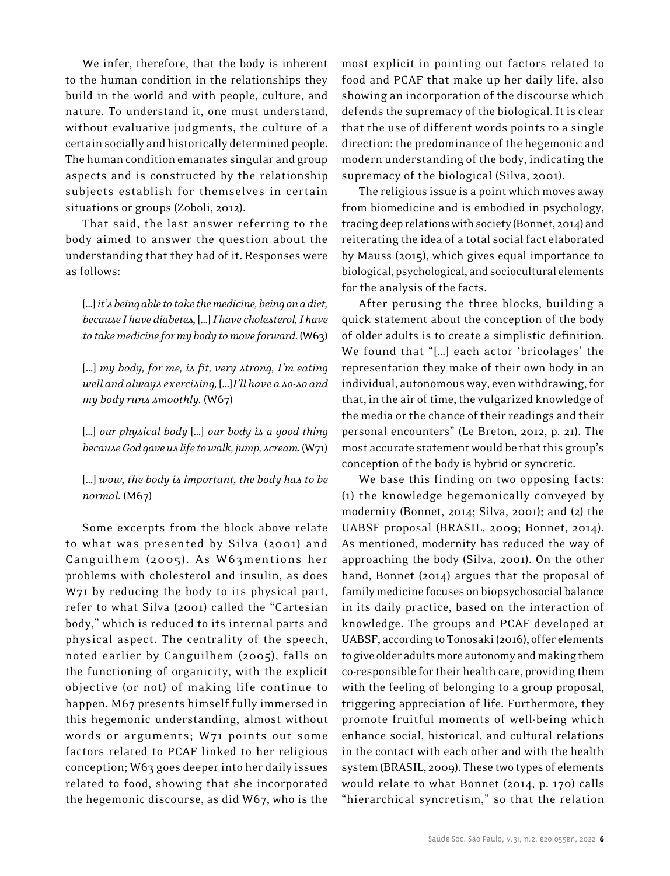We infer, therefore, that the body is inherent to the human condition in the relationships they build in the world and with people, culture, and nature. To understand it, one must understand, without evaluative judgments, the culture of a certain socially and historically determined people. The human condition emanates singular and group aspects and is constructed by the relationship subjects establish for themselves in certain situations or groups (Zoboli, 2012).

That said, the last answer referring to the body aimed to answer the question about the understanding that they had of it. Responses were as follows:

[…] *it's being able to take the medicine, being on a diet, because I have diabetes,* […] *I have cholesterol, I have to take medicine for my body to move forward.* (W63)

[…] *my body, for me, is fit, very strong, I'm eating well and always exercising,* […]*I'll have a so-so and my body runs smoothly.* (W67)

[…] *our physical body* […] *our body is a good thing because God gave us life to walk, jump, scream.* (W71)

[…] *wow, the body is important, the body has to be normal.* (M67)

Some excerpts from the block above relate to what was presented by Silva (2001) and Canguilhem (2005). As W63mentions her problems with cholesterol and insulin, as does W71 by reducing the body to its physical part, refer to what Silva (2001) called the "Cartesian body," which is reduced to its internal parts and physical aspect. The centrality of the speech, noted earlier by Canguilhem (2005), falls on the functioning of organicity, with the explicit objective (or not) of making life continue to happen. M67 presents himself fully immersed in this hegemonic understanding, almost without words or arguments; W71 points out some factors related to PCAF linked to her religious conception; W63 goes deeper into her daily issues related to food, showing that she incorporated the hegemonic discourse, as did W67, who is the

most explicit in pointing out factors related to food and PCAF that make up her daily life, also showing an incorporation of the discourse which defends the supremacy of the biological. It is clear that the use of different words points to a single direction: the predominance of the hegemonic and modern understanding of the body, indicating the supremacy of the biological (Silva, 2001).

The religious issue is a point which moves away from biomedicine and is embodied in psychology, tracing deep relations with society (Bonnet, 2014) and reiterating the idea of a total social fact elaborated by Mauss (2015), which gives equal importance to biological, psychological, and sociocultural elements for the analysis of the facts.

After perusing the three blocks, building a quick statement about the conception of the body of older adults is to create a simplistic definition. We found that "[…] each actor 'bricolages' the representation they make of their own body in an individual, autonomous way, even withdrawing, for that, in the air of time, the vulgarized knowledge of the media or the chance of their readings and their personal encounters" (Le Breton, 2012, p. 21). The most accurate statement would be that this group's conception of the body is hybrid or syncretic.

We base this finding on two opposing facts: (1) the knowledge hegemonically conveyed by modernity (Bonnet, 2014; Silva, 2001); and (2) the UABSF proposal (BRASIL, 2009; Bonnet, 2014). As mentioned, modernity has reduced the way of approaching the body (Silva, 2001). On the other hand, Bonnet (2014) argues that the proposal of family medicine focuses on biopsychosocial balance in its daily practice, based on the interaction of knowledge. The groups and PCAF developed at UABSF, according to Tonosaki (2016), offer elements to give older adults more autonomy and making them co-responsible for their health care, providing them with the feeling of belonging to a group proposal, triggering appreciation of life. Furthermore, they promote fruitful moments of well-being which enhance social, historical, and cultural relations in the contact with each other and with the health system (BRASIL, 2009). These two types of elements would relate to what Bonnet (2014, p. 170) calls "hierarchical syncretism," so that the relation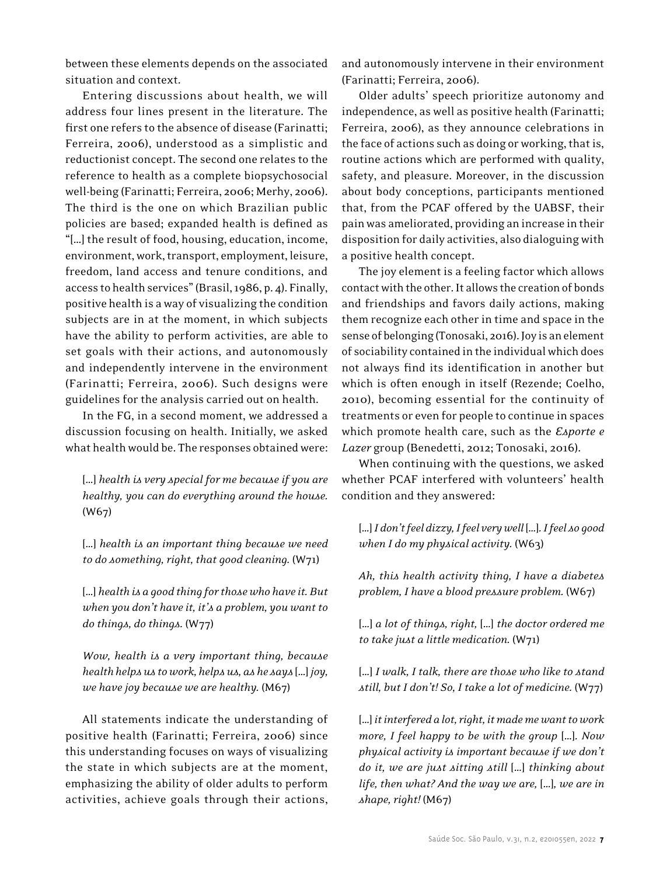between these elements depends on the associated situation and context.

Entering discussions about health, we will address four lines present in the literature. The first one refers to the absence of disease (Farinatti; Ferreira, 2006), understood as a simplistic and reductionist concept. The second one relates to the reference to health as a complete biopsychosocial well-being (Farinatti; Ferreira, 2006; Merhy, 2006). The third is the one on which Brazilian public policies are based; expanded health is defined as "[…] the result of food, housing, education, income, environment, work, transport, employment, leisure, freedom, land access and tenure conditions, and access to health services" (Brasil, 1986, p. 4). Finally, positive health is a way of visualizing the condition subjects are in at the moment, in which subjects have the ability to perform activities, are able to set goals with their actions, and autonomously and independently intervene in the environment (Farinatti; Ferreira, 2006). Such designs were guidelines for the analysis carried out on health.

In the FG, in a second moment, we addressed a discussion focusing on health. Initially, we asked what health would be. The responses obtained were:

[…] *health is very special for me because if you are healthy, you can do everything around the house.*  (W67)

[…] *health is an important thing because we need to do something, right, that good cleaning.* (W71)

[…] *health is a good thing for those who have it. But when you don't have it, it's a problem, you want to do things, do things.* (W77)

*Wow, health is a very important thing, because health helps us to work, helps us, as he says* […] *joy, we have joy because we are healthy.* (M67)

All statements indicate the understanding of positive health (Farinatti; Ferreira, 2006) since this understanding focuses on ways of visualizing the state in which subjects are at the moment, emphasizing the ability of older adults to perform activities, achieve goals through their actions, and autonomously intervene in their environment (Farinatti; Ferreira, 2006).

Older adults' speech prioritize autonomy and independence, as well as positive health (Farinatti; Ferreira, 2006), as they announce celebrations in the face of actions such as doing or working, that is, routine actions which are performed with quality, safety, and pleasure. Moreover, in the discussion about body conceptions, participants mentioned that, from the PCAF offered by the UABSF, their pain was ameliorated, providing an increase in their disposition for daily activities, also dialoguing with a positive health concept.

The joy element is a feeling factor which allows contact with the other. It allows the creation of bonds and friendships and favors daily actions, making them recognize each other in time and space in the sense of belonging (Tonosaki, 2016). Joy is an element of sociability contained in the individual which does not always find its identification in another but which is often enough in itself (Rezende; Coelho, 2010), becoming essential for the continuity of treatments or even for people to continue in spaces which promote health care, such as the *Esporte e Lazer* group (Benedetti, 2012; Tonosaki, 2016).

When continuing with the questions, we asked whether PCAF interfered with volunteers' health condition and they answered:

[…] *I don't feel dizzy, I feel very well* […]*. I feel so good when I do my physical activity.* (W63)

*Ah, this health activity thing, I have a diabetes problem, I have a blood pressure problem.* (W67)

[…] *a lot of things, right,* […] *the doctor ordered me to take just a little medication.* (W71)

[…] *I walk, I talk, there are those who like to stand still, but I don't! So, I take a lot of medicine.* (W77)

[…] *it interfered a lot, right, it made me want to work more, I feel happy to be with the group* […]*. Now physical activity is important because if we don't do it, we are just sitting still* […] *thinking about life, then what? And the way we are,* […]*, we are in shape, right!* (M67)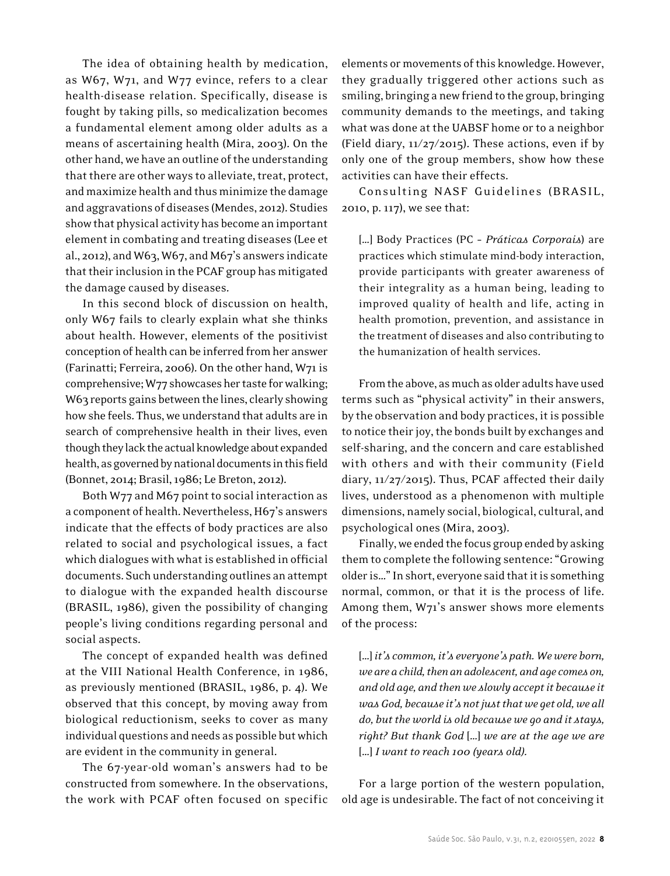The idea of obtaining health by medication, as W67, W71, and W77 evince, refers to a clear health-disease relation. Specifically, disease is fought by taking pills, so medicalization becomes a fundamental element among older adults as a means of ascertaining health (Mira, 2003). On the other hand, we have an outline of the understanding that there are other ways to alleviate, treat, protect, and maximize health and thus minimize the damage and aggravations of diseases (Mendes, 2012). Studies show that physical activity has become an important element in combating and treating diseases (Lee et al., 2012), and W63, W67, and M67's answers indicate that their inclusion in the PCAF group has mitigated the damage caused by diseases.

In this second block of discussion on health, only W67 fails to clearly explain what she thinks about health. However, elements of the positivist conception of health can be inferred from her answer (Farinatti; Ferreira, 2006). On the other hand, W71 is comprehensive; W77 showcases her taste for walking; W63 reports gains between the lines, clearly showing how she feels. Thus, we understand that adults are in search of comprehensive health in their lives, even though they lack the actual knowledge about expanded health, as governed by national documents in this field (Bonnet, 2014; Brasil, 1986; Le Breton, 2012).

Both W77 and M67 point to social interaction as a component of health. Nevertheless, H67's answers indicate that the effects of body practices are also related to social and psychological issues, a fact which dialogues with what is established in official documents. Such understanding outlines an attempt to dialogue with the expanded health discourse (BRASIL, 1986), given the possibility of changing people's living conditions regarding personal and social aspects.

The concept of expanded health was defined at the VIII National Health Conference, in 1986, as previously mentioned (BRASIL, 1986, p. 4). We observed that this concept, by moving away from biological reductionism, seeks to cover as many individual questions and needs as possible but which are evident in the community in general.

The 67-year-old woman's answers had to be constructed from somewhere. In the observations, the work with PCAF often focused on specific elements or movements of this knowledge. However, they gradually triggered other actions such as smiling, bringing a new friend to the group, bringing community demands to the meetings, and taking what was done at the UABSF home or to a neighbor (Field diary, 11/27/2015). These actions, even if by only one of the group members, show how these activities can have their effects.

Consulting NASF Guidelines (BRASIL, 2010, p. 117), we see that:

[…] Body Practices (PC – *Práticas Corporais*) are practices which stimulate mind-body interaction, provide participants with greater awareness of their integrality as a human being, leading to improved quality of health and life, acting in health promotion, prevention, and assistance in the treatment of diseases and also contributing to the humanization of health services.

From the above, as much as older adults have used terms such as "physical activity" in their answers, by the observation and body practices, it is possible to notice their joy, the bonds built by exchanges and self-sharing, and the concern and care established with others and with their community (Field diary, 11/27/2015). Thus, PCAF affected their daily lives, understood as a phenomenon with multiple dimensions, namely social, biological, cultural, and psychological ones (Mira, 2003).

Finally, we ended the focus group ended by asking them to complete the following sentence: "Growing older is…" In short, everyone said that it is something normal, common, or that it is the process of life. Among them, W71's answer shows more elements of the process:

[…] *it's common, it's everyone's path. We were born, we are a child, then an adolescent, and age comes on, and old age, and then we slowly accept it because it was God, because it's not just that we get old, we all do, but the world is old because we go and it stays, right? But thank God* […] *we are at the age we are*  […] *I want to reach 100 (years old).*

For a large portion of the western population, old age is undesirable. The fact of not conceiving it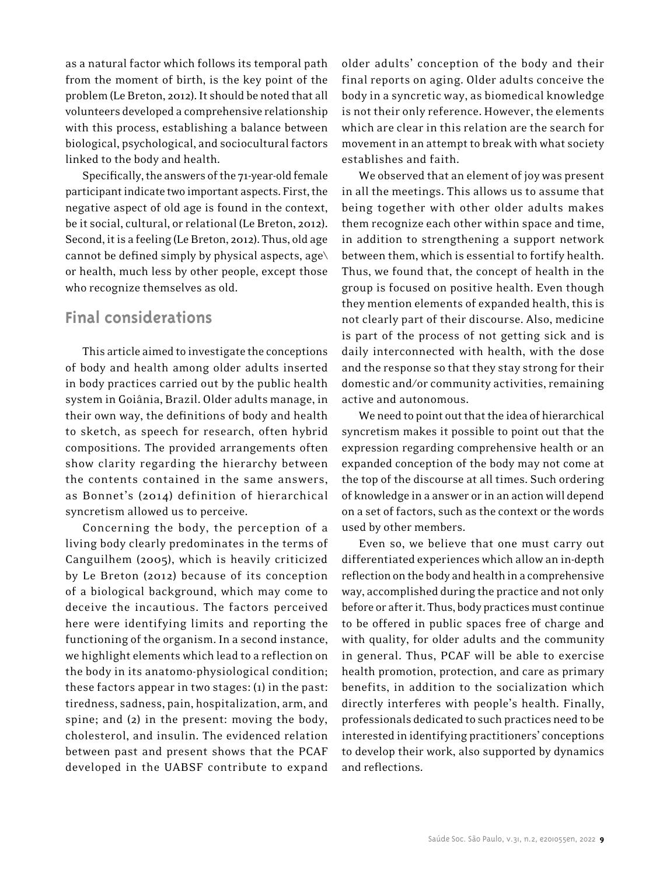as a natural factor which follows its temporal path from the moment of birth, is the key point of the problem (Le Breton, 2012). It should be noted that all volunteers developed a comprehensive relationship with this process, establishing a balance between biological, psychological, and sociocultural factors linked to the body and health.

Specifically, the answers of the 71-year-old female participant indicate two important aspects. First, the negative aspect of old age is found in the context, be it social, cultural, or relational (Le Breton, 2012). Second, it is a feeling (Le Breton, 2012). Thus, old age cannot be defined simply by physical aspects, age\ or health, much less by other people, except those who recognize themselves as old.

# **Final considerations**

This article aimed to investigate the conceptions of body and health among older adults inserted in body practices carried out by the public health system in Goiânia, Brazil. Older adults manage, in their own way, the definitions of body and health to sketch, as speech for research, often hybrid compositions. The provided arrangements often show clarity regarding the hierarchy between the contents contained in the same answers, as Bonnet's (2014) definition of hierarchical syncretism allowed us to perceive.

Concerning the body, the perception of a living body clearly predominates in the terms of Canguilhem (2005), which is heavily criticized by Le Breton (2012) because of its conception of a biological background, which may come to deceive the incautious. The factors perceived here were identifying limits and reporting the functioning of the organism. In a second instance, we highlight elements which lead to a reflection on the body in its anatomo-physiological condition; these factors appear in two stages: (1) in the past: tiredness, sadness, pain, hospitalization, arm, and spine; and (2) in the present: moving the body, cholesterol, and insulin. The evidenced relation between past and present shows that the PCAF developed in the UABSF contribute to expand

older adults' conception of the body and their final reports on aging. Older adults conceive the body in a syncretic way, as biomedical knowledge is not their only reference. However, the elements which are clear in this relation are the search for movement in an attempt to break with what society establishes and faith.

We observed that an element of joy was present in all the meetings. This allows us to assume that being together with other older adults makes them recognize each other within space and time, in addition to strengthening a support network between them, which is essential to fortify health. Thus, we found that, the concept of health in the group is focused on positive health. Even though they mention elements of expanded health, this is not clearly part of their discourse. Also, medicine is part of the process of not getting sick and is daily interconnected with health, with the dose and the response so that they stay strong for their domestic and/or community activities, remaining active and autonomous.

We need to point out that the idea of hierarchical syncretism makes it possible to point out that the expression regarding comprehensive health or an expanded conception of the body may not come at the top of the discourse at all times. Such ordering of knowledge in a answer or in an action will depend on a set of factors, such as the context or the words used by other members.

Even so, we believe that one must carry out differentiated experiences which allow an in-depth reflection on the body and health in a comprehensive way, accomplished during the practice and not only before or after it. Thus, body practices must continue to be offered in public spaces free of charge and with quality, for older adults and the community in general. Thus, PCAF will be able to exercise health promotion, protection, and care as primary benefits, in addition to the socialization which directly interferes with people's health. Finally, professionals dedicated to such practices need to be interested in identifying practitioners' conceptions to develop their work, also supported by dynamics and reflections.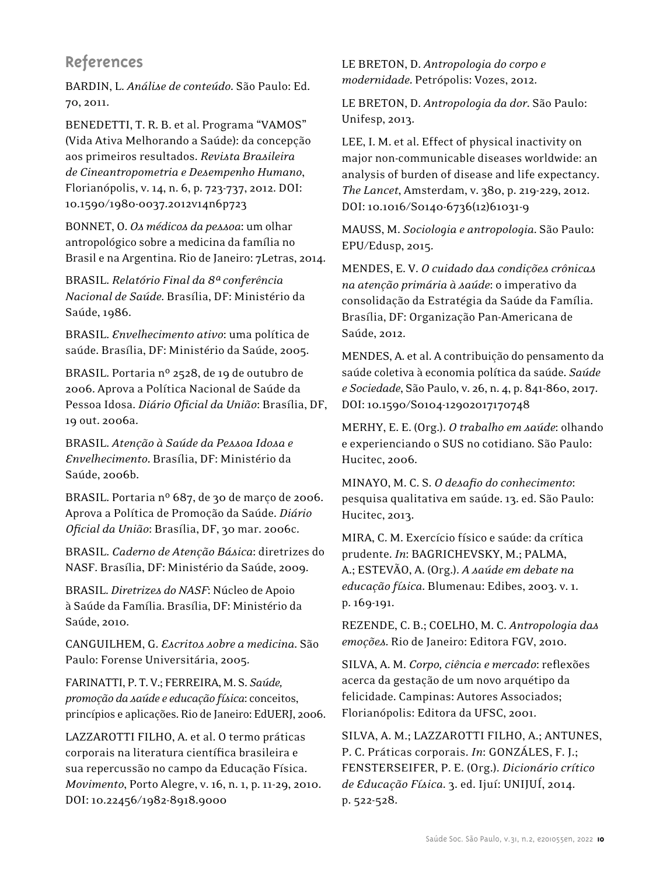# **References**

BARDIN, L. *Análise de conteúdo*. São Paulo: Ed. 70, 2011.

BENEDETTI, T. R. B. et al. Programa "VAMOS" (Vida Ativa Melhorando a Saúde): da concepção aos primeiros resultados. *Revista Brasileira de Cineantropometria e Desempenho Humano*, Florianópolis, v. 14, n. 6, p. 723-737, 2012. DOI: 10.1590/1980-0037.2012v14n6p723

BONNET, O. *Os médicos da pessoa*: um olhar antropológico sobre a medicina da família no Brasil e na Argentina. Rio de Janeiro: 7Letras, 2014.

BRASIL. *Relatório Final da 8ª conferência Nacional de Saúde*. Brasília, DF: Ministério da Saúde, 1986.

BRASIL. *Envelhecimento ativo*: uma política de saúde. Brasília, DF: Ministério da Saúde, 2005.

BRASIL. Portaria nº 2528, de 19 de outubro de 2006. Aprova a Política Nacional de Saúde da Pessoa Idosa. *Diário Oficial da União*: Brasília, DF, 19 out. 2006a.

BRASIL. *Atenção à Saúde da Pessoa Idosa e Envelhecimento***.** Brasília, DF: Ministério da Saúde, 2006b.

BRASIL. Portaria nº 687, de 30 de março de 2006. Aprova a Política de Promoção da Saúde. *Diário Oficial da União*: Brasília, DF, 30 mar. 2006c.

BRASIL. *Caderno de Atenção Básica*: diretrizes do NASF. Brasília, DF: Ministério da Saúde, 2009.

BRASIL. *Diretrizes do NASF*: Núcleo de Apoio à Saúde da Família. Brasília, DF: Ministério da Saúde, 2010.

CANGUILHEM, G. *Escritos sobre a medicina*. São Paulo: Forense Universitária, 2005.

FARINATTI, P. T. V.; FERREIRA, M. S. *Saúde, promoção da saúde e educação física*: conceitos, princípios e aplicações. Rio de Janeiro: EdUERJ, 2006.

LAZZAROTTI FILHO, A. et al. O termo práticas corporais na literatura científica brasileira e sua repercussão no campo da Educação Física. *Movimento*, Porto Alegre, v. 16, n. 1, p. 11-29, 2010. DOI: 10.22456/1982-8918.9000

LE BRETON, D. *Antropologia do corpo e modernidade*. Petrópolis: Vozes, 2012.

LE BRETON, D. *Antropologia da dor*. São Paulo: Unifesp, 2013.

LEE, I. M. et al. Effect of physical inactivity on major non-communicable diseases worldwide: an analysis of burden of disease and life expectancy. *The Lancet*, Amsterdam, v. 380, p. 219-229, 2012. DOI: 10.1016/S0140-6736(12)61031-9

MAUSS, M. *Sociologia e antropologia*. São Paulo: EPU/Edusp, 2015.

MENDES, E. V. *O cuidado das condições crônicas na atenção primária à saúde*: o imperativo da consolidação da Estratégia da Saúde da Família. Brasília, DF: Organização Pan-Americana de Saúde, 2012.

MENDES, A. et al. A contribuição do pensamento da saúde coletiva à economia política da saúde. *Saúde e Sociedade*, São Paulo, v. 26, n. 4, p. 841-860, 2017. DOI: 10.1590/S0104-12902017170748

MERHY, E. E. (Org.). *O trabalho em saúde*: olhando e experienciando o SUS no cotidiano*.* São Paulo: Hucitec, 2006.

MINAYO, M. C. S. *O desafio do conhecimento*: pesquisa qualitativa em saúde. 13. ed. São Paulo: Hucitec, 2013.

MIRA, C. M. Exercício físico e saúde: da crítica prudente. *In*: BAGRICHEVSKY, M.; PALMA, A.; ESTEVÃO, A. (Org.). *A saúde em debate na educação física*. Blumenau: Edibes, 2003. v. 1. p. 169-191.

REZENDE, C. B.; COELHO, M. C. *Antropologia das emoções*. Rio de Janeiro: Editora FGV, 2010.

SILVA, A. M. *Corpo, ciência e mercado*: reflexões acerca da gestação de um novo arquétipo da felicidade. Campinas: Autores Associados; Florianópolis: Editora da UFSC, 2001.

SILVA, A. M.; LAZZAROTTI FILHO, A.; ANTUNES, P. C. Práticas corporais. *In*: GONZÁLES, F. J.; FENSTERSEIFER, P. E. (Org.). *Dicionário crítico de Educação Física*. 3. ed. Ijuí: UNIJUÍ, 2014. p. 522-528.